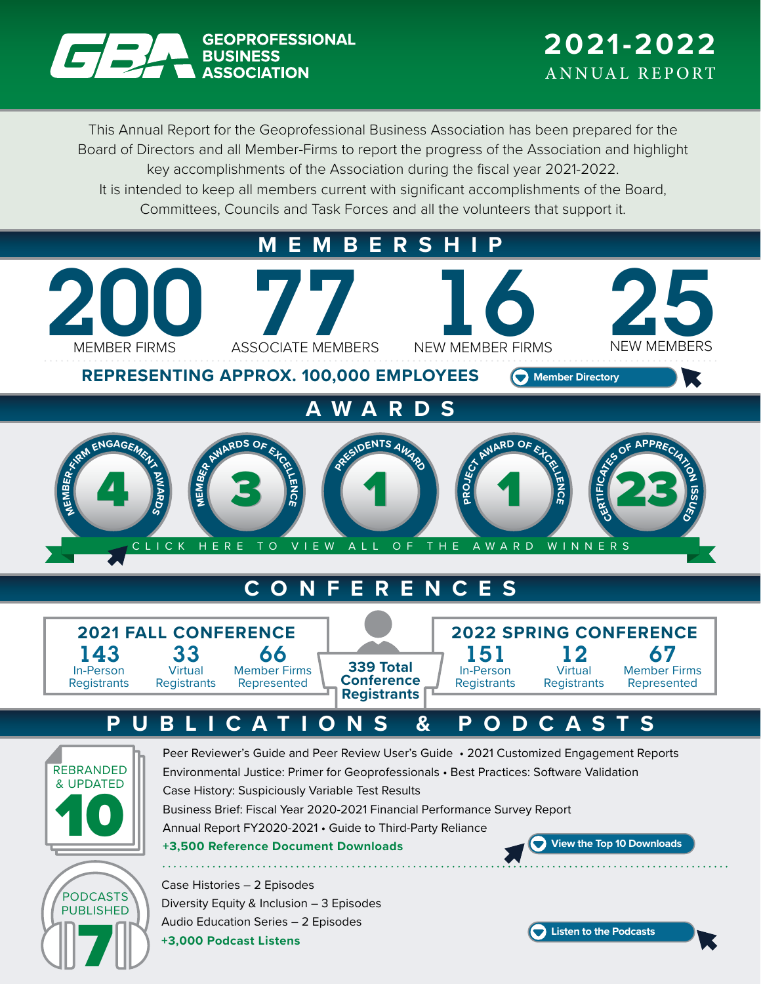

This Annual Report for the Geoprofessional Business Association has been prepared for the Board of Directors and all Member-Firms to report the progress of the Association and highlight key accomplishments of the Association during the fiscal year 2021-2022. It is intended to keep all members current with significant accomplishments of the Board, Committees, Councils and Task Forces and all the volunteers that support it.

**MEMBERSHIP**